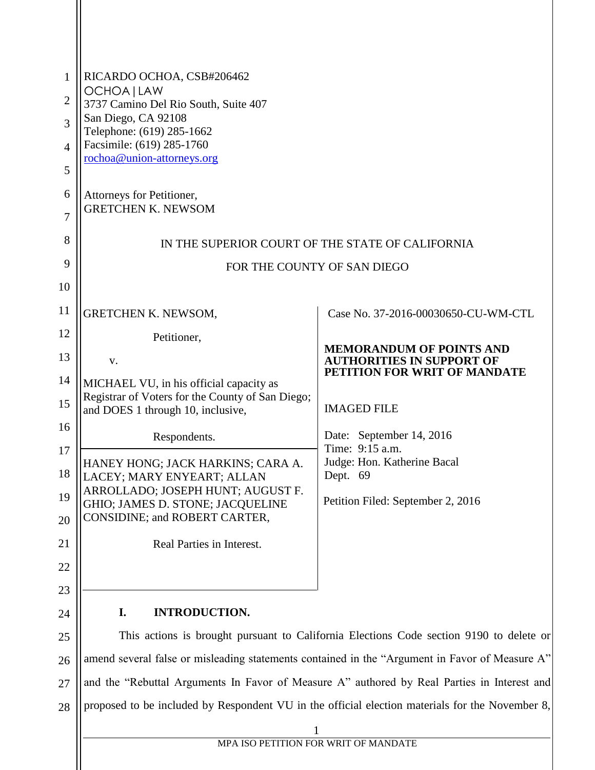| 1<br>2<br>3<br>$\overline{4}$<br>5<br>6<br>$\overline{7}$<br>8<br>9 | RICARDO OCHOA, CSB#206462<br>OCHOA   LAW<br>3737 Camino Del Rio South, Suite 407<br>San Diego, CA 92108<br>Telephone: (619) 285-1662<br>Facsimile: (619) 285-1760<br>rochoa@union-attorneys.org<br>Attorneys for Petitioner,<br><b>GRETCHEN K. NEWSOM</b> | IN THE SUPERIOR COURT OF THE STATE OF CALIFORNIA<br>FOR THE COUNTY OF SAN DIEGO |  |  |  |
|---------------------------------------------------------------------|-----------------------------------------------------------------------------------------------------------------------------------------------------------------------------------------------------------------------------------------------------------|---------------------------------------------------------------------------------|--|--|--|
| 10<br>11                                                            |                                                                                                                                                                                                                                                           |                                                                                 |  |  |  |
| 12                                                                  | <b>GRETCHEN K. NEWSOM,</b>                                                                                                                                                                                                                                | Case No. 37-2016-00030650-CU-WM-CTL                                             |  |  |  |
| 13                                                                  | Petitioner,                                                                                                                                                                                                                                               | <b>MEMORANDUM OF POINTS AND</b><br><b>AUTHORITIES IN SUPPORT OF</b>             |  |  |  |
| 14                                                                  | V.<br>MICHAEL VU, in his official capacity as                                                                                                                                                                                                             | PETITION FOR WRIT OF MANDATE                                                    |  |  |  |
| 15                                                                  | Registrar of Voters for the County of San Diego;<br>and DOES 1 through 10, inclusive,                                                                                                                                                                     | <b>IMAGED FILE</b>                                                              |  |  |  |
| 16                                                                  | Respondents.                                                                                                                                                                                                                                              | Date: September 14, 2016                                                        |  |  |  |
| 17                                                                  | HANEY HONG; JACK HARKINS; CARA A.                                                                                                                                                                                                                         | Time: 9:15 a.m.<br>Judge: Hon. Katherine Bacal                                  |  |  |  |
| 18                                                                  | LACEY; MARY ENYEART; ALLAN<br>ARROLLADO; JOSEPH HUNT; AUGUST F.                                                                                                                                                                                           | Dept. 69                                                                        |  |  |  |
| 19<br>20                                                            | GHIO; JAMES D. STONE; JACQUELINE<br>CONSIDINE; and ROBERT CARTER,                                                                                                                                                                                         | Petition Filed: September 2, 2016                                               |  |  |  |
| 21                                                                  | Real Parties in Interest.                                                                                                                                                                                                                                 |                                                                                 |  |  |  |
| 22                                                                  |                                                                                                                                                                                                                                                           |                                                                                 |  |  |  |
| 23                                                                  |                                                                                                                                                                                                                                                           |                                                                                 |  |  |  |
| 24                                                                  | I.<br><b>INTRODUCTION.</b>                                                                                                                                                                                                                                |                                                                                 |  |  |  |
| 25                                                                  | This actions is brought pursuant to California Elections Code section 9190 to delete or                                                                                                                                                                   |                                                                                 |  |  |  |
| 26                                                                  | amend several false or misleading statements contained in the "Argument in Favor of Measure A"                                                                                                                                                            |                                                                                 |  |  |  |
| 27                                                                  | and the "Rebuttal Arguments In Favor of Measure A" authored by Real Parties in Interest and                                                                                                                                                               |                                                                                 |  |  |  |
| 28                                                                  | proposed to be included by Respondent VU in the official election materials for the November 8,                                                                                                                                                           |                                                                                 |  |  |  |
|                                                                     | MPA ISO PETITION FOR WRIT OF MANDATE                                                                                                                                                                                                                      |                                                                                 |  |  |  |
|                                                                     |                                                                                                                                                                                                                                                           |                                                                                 |  |  |  |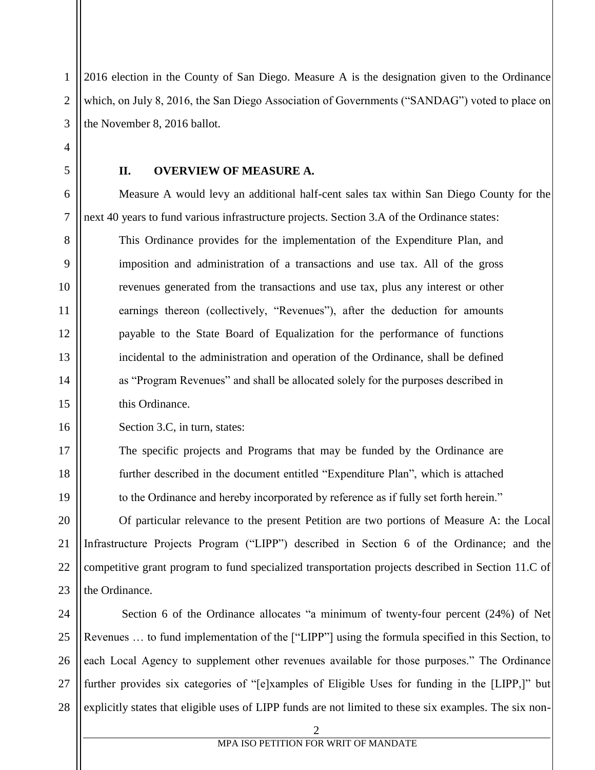1 2 3 2016 election in the County of San Diego. Measure A is the designation given to the Ordinance which, on July 8, 2016, the San Diego Association of Governments ("SANDAG") voted to place on the November 8, 2016 ballot.

**II. OVERVIEW OF MEASURE A.**

Measure A would levy an additional half-cent sales tax within San Diego County for the next 40 years to fund various infrastructure projects. Section 3.A of the Ordinance states:

This Ordinance provides for the implementation of the Expenditure Plan, and imposition and administration of a transactions and use tax. All of the gross revenues generated from the transactions and use tax, plus any interest or other earnings thereon (collectively, "Revenues"), after the deduction for amounts payable to the State Board of Equalization for the performance of functions incidental to the administration and operation of the Ordinance, shall be defined as "Program Revenues" and shall be allocated solely for the purposes described in this Ordinance.

Section 3.C, in turn, states:

4

5

6

7

8

9

10

11

12

13

14

15

16

17

18

19

The specific projects and Programs that may be funded by the Ordinance are further described in the document entitled "Expenditure Plan", which is attached to the Ordinance and hereby incorporated by reference as if fully set forth herein."

20 21 22 23 Of particular relevance to the present Petition are two portions of Measure A: the Local Infrastructure Projects Program ("LIPP") described in Section 6 of the Ordinance; and the competitive grant program to fund specialized transportation projects described in Section 11.C of the Ordinance.

24 25 26 27 28 Section 6 of the Ordinance allocates "a minimum of twenty-four percent (24%) of Net Revenues … to fund implementation of the ["LIPP"] using the formula specified in this Section, to each Local Agency to supplement other revenues available for those purposes." The Ordinance further provides six categories of "[e]xamples of Eligible Uses for funding in the [LIPP,]" but explicitly states that eligible uses of LIPP funds are not limited to these six examples. The six non-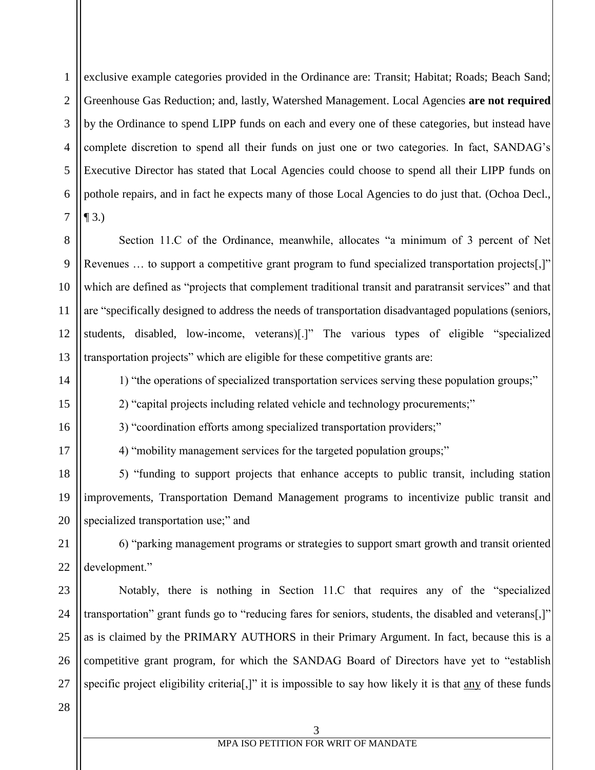1 2 3 4 5 6 7 exclusive example categories provided in the Ordinance are: Transit; Habitat; Roads; Beach Sand; Greenhouse Gas Reduction; and, lastly, Watershed Management. Local Agencies **are not required** by the Ordinance to spend LIPP funds on each and every one of these categories, but instead have complete discretion to spend all their funds on just one or two categories. In fact, SANDAG's Executive Director has stated that Local Agencies could choose to spend all their LIPP funds on pothole repairs, and in fact he expects many of those Local Agencies to do just that. (Ochoa Decl.,  $\P$  3.)

8 9 10 11 12 13 Section 11.C of the Ordinance, meanwhile, allocates "a minimum of 3 percent of Net Revenues … to support a competitive grant program to fund specialized transportation projects[,]" which are defined as "projects that complement traditional transit and paratransit services" and that are "specifically designed to address the needs of transportation disadvantaged populations (seniors, students, disabled, low-income, veterans)[.]" The various types of eligible "specialized transportation projects" which are eligible for these competitive grants are:

1) "the operations of specialized transportation services serving these population groups;"

2) "capital projects including related vehicle and technology procurements;"

3) "coordination efforts among specialized transportation providers;"

4) "mobility management services for the targeted population groups;"

18 19 20 5) "funding to support projects that enhance accepts to public transit, including station improvements, Transportation Demand Management programs to incentivize public transit and specialized transportation use;" and

21 22 6) "parking management programs or strategies to support smart growth and transit oriented development."

23 24 25 26 27 Notably, there is nothing in Section 11.C that requires any of the "specialized transportation" grant funds go to "reducing fares for seniors, students, the disabled and veterans[,]" as is claimed by the PRIMARY AUTHORS in their Primary Argument. In fact, because this is a competitive grant program, for which the SANDAG Board of Directors have yet to "establish specific project eligibility criterial,]" it is impossible to say how likely it is that any of these funds

28

14

15

16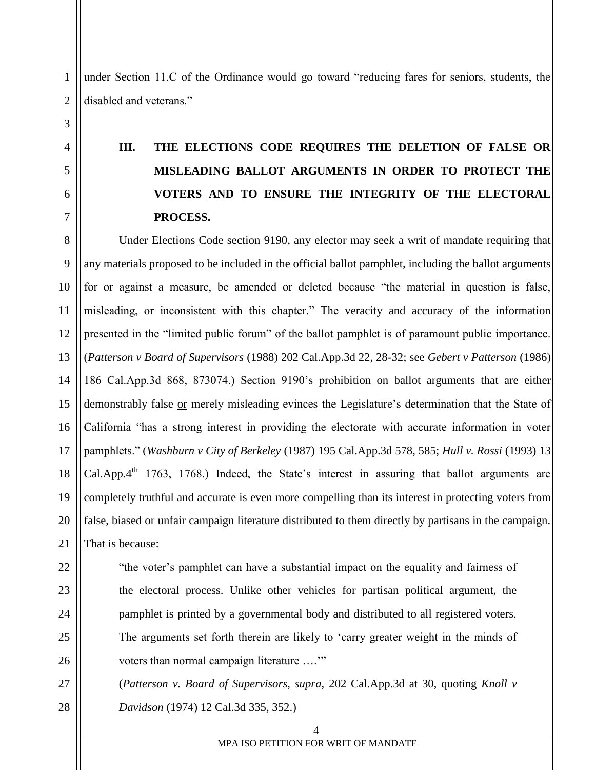under Section 11.C of the Ordinance would go toward "reducing fares for seniors, students, the disabled and veterans."

# **III. THE ELECTIONS CODE REQUIRES THE DELETION OF FALSE OR MISLEADING BALLOT ARGUMENTS IN ORDER TO PROTECT THE VOTERS AND TO ENSURE THE INTEGRITY OF THE ELECTORAL PROCESS.**

8 9 10 11 12 13 14 15 16 17 18 19 20 21 Under Elections Code section 9190, any elector may seek a writ of mandate requiring that any materials proposed to be included in the official ballot pamphlet, including the ballot arguments for or against a measure, be amended or deleted because "the material in question is false, misleading, or inconsistent with this chapter." The veracity and accuracy of the information presented in the "limited public forum" of the ballot pamphlet is of paramount public importance. (*Patterson v Board of Supervisors* (1988) 202 Cal.App.3d 22, 28-32; see *Gebert v Patterson* (1986) 186 Cal.App.3d 868, 873074.) Section 9190's prohibition on ballot arguments that are either demonstrably false or merely misleading evinces the Legislature's determination that the State of California "has a strong interest in providing the electorate with accurate information in voter pamphlets." (*Washburn v City of Berkeley* (1987) 195 Cal.App.3d 578, 585; *Hull v. Rossi* (1993) 13 Cal.App.4<sup>th</sup> 1763, 1768.) Indeed, the State's interest in assuring that ballot arguments are completely truthful and accurate is even more compelling than its interest in protecting voters from false, biased or unfair campaign literature distributed to them directly by partisans in the campaign. That is because:

"the voter's pamphlet can have a substantial impact on the equality and fairness of the electoral process. Unlike other vehicles for partisan political argument, the pamphlet is printed by a governmental body and distributed to all registered voters. The arguments set forth therein are likely to 'carry greater weight in the minds of voters than normal campaign literature ...."

(*Patterson v. Board of Supervisors, supra,* 202 Cal.App.3d at 30, quoting *Knoll v Davidson* (1974) 12 Cal.3d 335, 352.)

1

2

3

4

5

6

7

28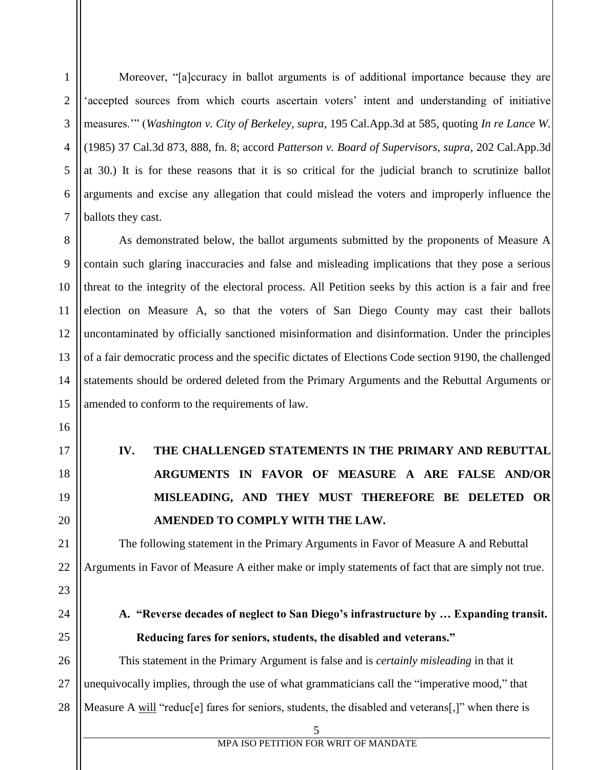Moreover, "[a]ccuracy in ballot arguments is of additional importance because they are 'accepted sources from which courts ascertain voters' intent and understanding of initiative measures.'" (*Washington v. City of Berkeley, supra*, 195 Cal.App.3d at 585, quoting *In re Lance W.* (1985) 37 Cal.3d 873, 888, fn. 8; accord *Patterson v. Board of Supervisors, supra*, 202 Cal.App.3d at 30.) It is for these reasons that it is so critical for the judicial branch to scrutinize ballot arguments and excise any allegation that could mislead the voters and improperly influence the ballots they cast.

8 9 10 11 12 13 14 15 As demonstrated below, the ballot arguments submitted by the proponents of Measure A contain such glaring inaccuracies and false and misleading implications that they pose a serious threat to the integrity of the electoral process. All Petition seeks by this action is a fair and free election on Measure A, so that the voters of San Diego County may cast their ballots uncontaminated by officially sanctioned misinformation and disinformation. Under the principles of a fair democratic process and the specific dictates of Elections Code section 9190, the challenged statements should be ordered deleted from the Primary Arguments and the Rebuttal Arguments or amended to conform to the requirements of law.

> **IV. THE CHALLENGED STATEMENTS IN THE PRIMARY AND REBUTTAL ARGUMENTS IN FAVOR OF MEASURE A ARE FALSE AND/OR MISLEADING, AND THEY MUST THEREFORE BE DELETED OR AMENDED TO COMPLY WITH THE LAW.**

The following statement in the Primary Arguments in Favor of Measure A and Rebuttal Arguments in Favor of Measure A either make or imply statements of fact that are simply not true.

1

2

3

4

5

6

7

16

17

18

19

20

21

22

23

24

25

#### **A. "Reverse decades of neglect to San Diego's infrastructure by … Expanding transit. Reducing fares for seniors, students, the disabled and veterans."**

26 27 28 This statement in the Primary Argument is false and is *certainly misleading* in that it unequivocally implies, through the use of what grammaticians call the "imperative mood," that Measure A will "reduc[e] fares for seniors, students, the disabled and veterans[,]" when there is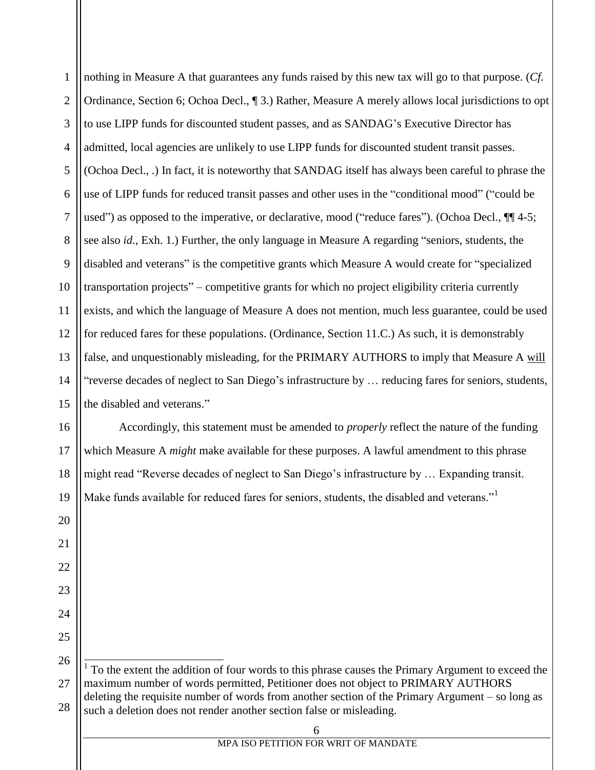1 2 3 4 5 6 7 8 9 10 11 12 13 14 15 16 17 18 nothing in Measure A that guarantees any funds raised by this new tax will go to that purpose. (*Cf.* Ordinance, Section 6; Ochoa Decl., ¶ 3.) Rather, Measure A merely allows local jurisdictions to opt to use LIPP funds for discounted student passes, and as SANDAG's Executive Director has admitted, local agencies are unlikely to use LIPP funds for discounted student transit passes. (Ochoa Decl., .) In fact, it is noteworthy that SANDAG itself has always been careful to phrase the use of LIPP funds for reduced transit passes and other uses in the "conditional mood" ("could be used") as opposed to the imperative, or declarative, mood ("reduce fares"). (Ochoa Decl., ¶¶ 4-5; see also *id*., Exh. 1.) Further, the only language in Measure A regarding "seniors, students, the disabled and veterans" is the competitive grants which Measure A would create for "specialized transportation projects" – competitive grants for which no project eligibility criteria currently exists, and which the language of Measure A does not mention, much less guarantee, could be used for reduced fares for these populations. (Ordinance, Section 11.C.) As such, it is demonstrably false, and unquestionably misleading, for the PRIMARY AUTHORS to imply that Measure A will "reverse decades of neglect to San Diego's infrastructure by … reducing fares for seniors, students, the disabled and veterans." Accordingly, this statement must be amended to *properly* reflect the nature of the funding which Measure A *might* make available for these purposes. A lawful amendment to this phrase might read "Reverse decades of neglect to San Diego's infrastructure by … Expanding transit.

Make funds available for reduced fares for seniors, students, the disabled and veterans."<sup>1</sup>

19

20

21

22

23

24

25

<sup>27</sup> 28 <sup>1</sup> To the extent the addition of four words to this phrase causes the Primary Argument to exceed the maximum number of words permitted, Petitioner does not object to PRIMARY AUTHORS deleting the requisite number of words from another section of the Primary Argument – so long as such a deletion does not render another section false or misleading.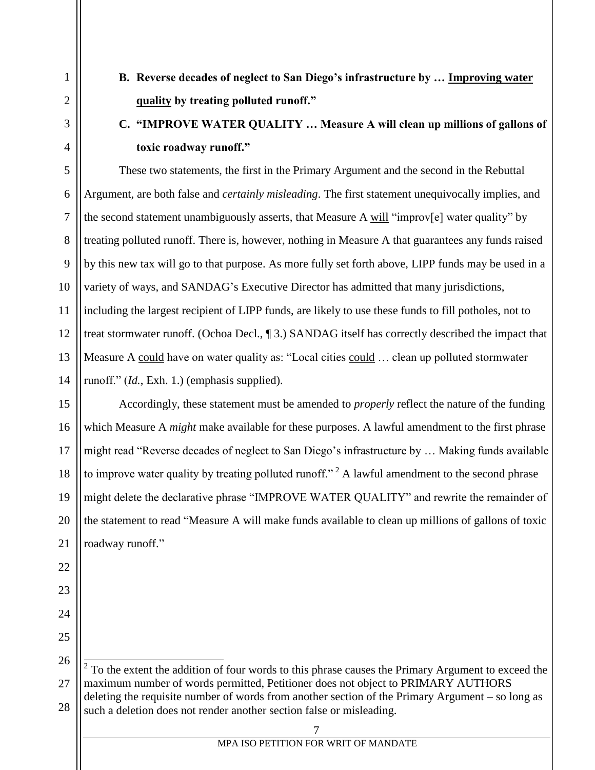- 1 2 3 4 5 6 7 8 9 10 11 12 13 14 15 16 17 18 19 20 21 22 23 24 25 26
- **B. Reverse decades of neglect to San Diego's infrastructure by … Improving water quality by treating polluted runoff."**

## **C. "IMPROVE WATER QUALITY … Measure A will clean up millions of gallons of toxic roadway runoff."**

These two statements, the first in the Primary Argument and the second in the Rebuttal Argument, are both false and *certainly misleading*. The first statement unequivocally implies, and the second statement unambiguously asserts, that Measure A will "improv[e] water quality" by treating polluted runoff. There is, however, nothing in Measure A that guarantees any funds raised by this new tax will go to that purpose. As more fully set forth above, LIPP funds may be used in a variety of ways, and SANDAG's Executive Director has admitted that many jurisdictions, including the largest recipient of LIPP funds, are likely to use these funds to fill potholes, not to treat stormwater runoff. (Ochoa Decl., ¶ 3.) SANDAG itself has correctly described the impact that Measure A could have on water quality as: "Local cities could … clean up polluted stormwater runoff." (*Id.*, Exh. 1.) (emphasis supplied).

Accordingly, these statement must be amended to *properly* reflect the nature of the funding which Measure A *might* make available for these purposes. A lawful amendment to the first phrase might read "Reverse decades of neglect to San Diego's infrastructure by … Making funds available to improve water quality by treating polluted runoff."<sup>2</sup> A lawful amendment to the second phrase might delete the declarative phrase "IMPROVE WATER QUALITY" and rewrite the remainder of the statement to read "Measure A will make funds available to clean up millions of gallons of toxic roadway runoff."

<sup>27</sup> 28 <sup>2</sup> To the extent the addition of four words to this phrase causes the Primary Argument to exceed the maximum number of words permitted, Petitioner does not object to PRIMARY AUTHORS deleting the requisite number of words from another section of the Primary Argument – so long as such a deletion does not render another section false or misleading.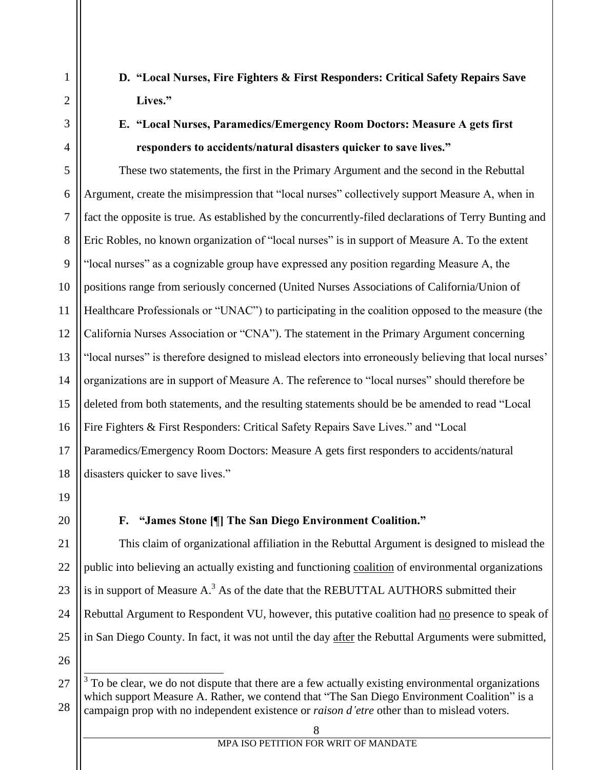**D. "Local Nurses, Fire Fighters & First Responders: Critical Safety Repairs Save Lives."**

### **E. "Local Nurses, Paramedics/Emergency Room Doctors: Measure A gets first responders to accidents/natural disasters quicker to save lives."**

5 6 7 8 9 10 11 12 13 14 15 16 17 18 These two statements, the first in the Primary Argument and the second in the Rebuttal Argument, create the misimpression that "local nurses" collectively support Measure A, when in fact the opposite is true. As established by the concurrently-filed declarations of Terry Bunting and Eric Robles, no known organization of "local nurses" is in support of Measure A. To the extent "local nurses" as a cognizable group have expressed any position regarding Measure A, the positions range from seriously concerned (United Nurses Associations of California/Union of Healthcare Professionals or "UNAC") to participating in the coalition opposed to the measure (the California Nurses Association or "CNA"). The statement in the Primary Argument concerning "local nurses" is therefore designed to mislead electors into erroneously believing that local nurses' organizations are in support of Measure A. The reference to "local nurses" should therefore be deleted from both statements, and the resulting statements should be be amended to read "Local Fire Fighters & First Responders: Critical Safety Repairs Save Lives." and "Local Paramedics/Emergency Room Doctors: Measure A gets first responders to accidents/natural disasters quicker to save lives."

19

20

1

2

3

4

#### **F. "James Stone [¶] The San Diego Environment Coalition."**

21 22 23 24 25 This claim of organizational affiliation in the Rebuttal Argument is designed to mislead the public into believing an actually existing and functioning coalition of environmental organizations is in support of Measure  $A<sup>3</sup>$ . As of the date that the REBUTTAL AUTHORS submitted their Rebuttal Argument to Respondent VU, however, this putative coalition had no presence to speak of in San Diego County. In fact, it was not until the day after the Rebuttal Arguments were submitted,

26

 $\overline{a}$ 

<sup>27</sup> 28  $3$  To be clear, we do not dispute that there are a few actually existing environmental organizations which support Measure A. Rather, we contend that "The San Diego Environment Coalition" is a campaign prop with no independent existence or *raison d'etre* other than to mislead voters.